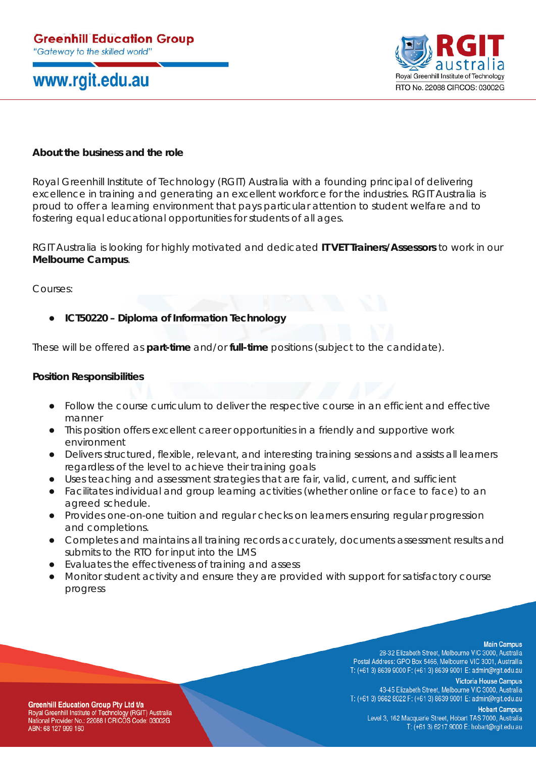## www.rgit.edu.au



## **About the business and the role**

Royal Greenhill Institute of Technology (RGIT) Australia with a founding principal of delivering excellence in training and generating an excellent workforce for the industries. RGIT Australia is proud to offer a learning environment that pays particular attention to student welfare and to fostering equal educational opportunities for students of all ages.

RGIT Australia is looking for highly motivated and dedicated **IT VET Trainers/Assessors** to work in our **Melbourne Campus**.

Courses:

● **ICT50220 – Diploma of Information Technology**

These will be offered as **part-time** and/or **full-time** positions (subject to the candidate).

### **Position Responsibilities**

- Follow the course curriculum to deliver the respective course in an efficient and effective manner
- This position offers excellent career opportunities in a friendly and supportive work environment
- Delivers structured, flexible, relevant, and interesting training sessions and assists all learners regardless of the level to achieve their training goals
- Uses teaching and assessment strategies that are fair, valid, current, and sufficient
- Facilitates individual and group learning activities (whether online or face to face) to an agreed schedule.
- Provides one-on-one tuition and regular checks on learners ensuring regular progression and completions.
- Completes and maintains all training records accurately, documents assessment results and submits to the RTO for input into the LMS
- Evaluates the effectiveness of training and assess
- Monitor student activity and ensure they are provided with support for satisfactory course progress

#### **Main Campus**

28-32 Elizabeth Street, Melbourne VIC 3000, Australia Postal Address: GPO Box 5466, Melbourne VIC 3001, Australlia T: (+61 3) 8639 9000 F: (+61 3) 8639 9001 E: admin@rgit.edu.au

**Victoria House Campus** 43-45 Elizabeth Street, Melbourne VIC 3000, Australia T: (+61 3) 9662 8022 F: (+61 3) 8639 9001 E: admin@rgit.edu.au

**Greenhill Education Group Pty Ltd t/a** Royal Greenhill Institute of Technology (RGIT) Australia National Provider No.: 22088 I CRICOS Code: 03002G ABN: 68 127 999 160

**Hobart Campus** Level 3, 162 Macquarie Street, Hobart TAS 7000, Australia T: (+61 3) 6217 9000 E: hobart@rgit.edu.au